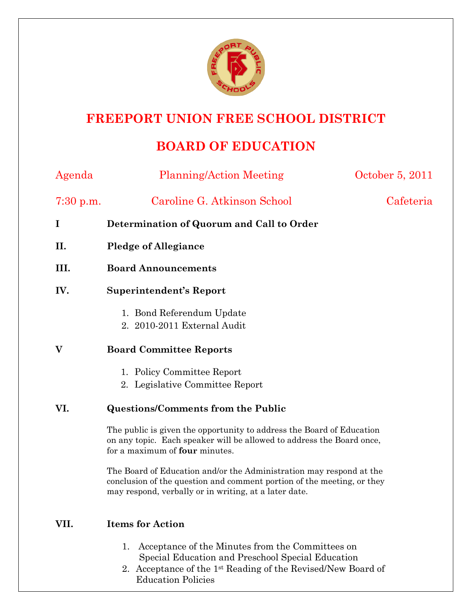

## **FREEPORT UNION FREE SCHOOL DISTRICT**

## **BOARD OF EDUCATION**

| Agenda    | <b>Planning/Action Meeting</b>                                                                                                                                                                         | October 5, 2011 |
|-----------|--------------------------------------------------------------------------------------------------------------------------------------------------------------------------------------------------------|-----------------|
| 7:30 p.m. | Caroline G. Atkinson School                                                                                                                                                                            | Cafeteria       |
| I         | Determination of Quorum and Call to Order                                                                                                                                                              |                 |
| II.       | <b>Pledge of Allegiance</b>                                                                                                                                                                            |                 |
| III.      | <b>Board Announcements</b>                                                                                                                                                                             |                 |
| IV.       | <b>Superintendent's Report</b>                                                                                                                                                                         |                 |
|           | 1. Bond Referendum Update<br>2. 2010-2011 External Audit                                                                                                                                               |                 |
| V         | <b>Board Committee Reports</b>                                                                                                                                                                         |                 |
|           | 1. Policy Committee Report<br>2. Legislative Committee Report                                                                                                                                          |                 |
| VI.       | <b>Questions/Comments from the Public</b>                                                                                                                                                              |                 |
|           | The public is given the opportunity to address the Board of Education<br>on any topic. Each speaker will be allowed to address the Board once,<br>for a maximum of four minutes.                       |                 |
|           | The Board of Education and/or the Administration may respond at the<br>conclusion of the question and comment portion of the meeting, or they<br>may respond, verbally or in writing, at a later date. |                 |
| VII.      | <b>Items for Action</b>                                                                                                                                                                                |                 |

- 1. Acceptance of the Minutes from the Committees on Special Education and Preschool Special Education
- 2. Acceptance of the 1st Reading of the Revised/New Board of Education Policies